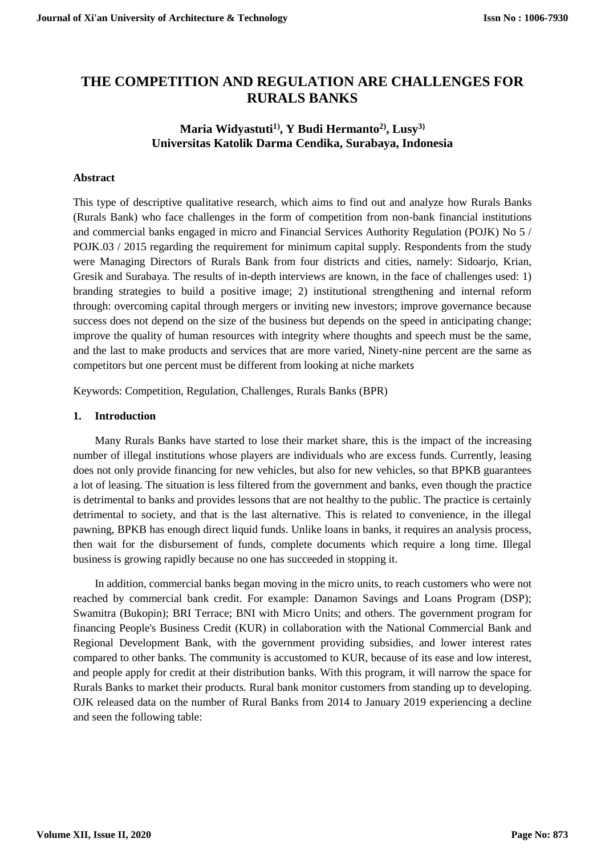# **THE COMPETITION AND REGULATION ARE CHALLENGES FOR RURALS BANKS**

# **Maria Widyastuti1), Y Budi Hermanto2), Lusy3) Universitas Katolik Darma Cendika, Surabaya, Indonesia**

# **Abstract**

This type of descriptive qualitative research, which aims to find out and analyze how Rurals Banks (Rurals Bank) who face challenges in the form of competition from non-bank financial institutions and commercial banks engaged in micro and Financial Services Authority Regulation (POJK) No 5 / POJK.03 / 2015 regarding the requirement for minimum capital supply. Respondents from the study were Managing Directors of Rurals Bank from four districts and cities, namely: Sidoarjo, Krian, Gresik and Surabaya. The results of in-depth interviews are known, in the face of challenges used: 1) branding strategies to build a positive image; 2) institutional strengthening and internal reform through: overcoming capital through mergers or inviting new investors; improve governance because success does not depend on the size of the business but depends on the speed in anticipating change; improve the quality of human resources with integrity where thoughts and speech must be the same, and the last to make products and services that are more varied, Ninety-nine percent are the same as competitors but one percent must be different from looking at niche markets

Keywords: Competition, Regulation, Challenges, Rurals Banks (BPR)

#### **1. Introduction**

Many Rurals Banks have started to lose their market share, this is the impact of the increasing number of illegal institutions whose players are individuals who are excess funds. Currently, leasing does not only provide financing for new vehicles, but also for new vehicles, so that BPKB guarantees a lot of leasing. The situation is less filtered from the government and banks, even though the practice is detrimental to banks and provides lessons that are not healthy to the public. The practice is certainly detrimental to society, and that is the last alternative. This is related to convenience, in the illegal pawning, BPKB has enough direct liquid funds. Unlike loans in banks, it requires an analysis process, then wait for the disbursement of funds, complete documents which require a long time. Illegal business is growing rapidly because no one has succeeded in stopping it.

In addition, commercial banks began moving in the micro units, to reach customers who were not reached by commercial bank credit. For example: Danamon Savings and Loans Program (DSP); Swamitra (Bukopin); BRI Terrace; BNI with Micro Units; and others. The government program for financing People's Business Credit (KUR) in collaboration with the National Commercial Bank and Regional Development Bank, with the government providing subsidies, and lower interest rates compared to other banks. The community is accustomed to KUR, because of its ease and low interest, and people apply for credit at their distribution banks. With this program, it will narrow the space for Rurals Banks to market their products. Rural bank monitor customers from standing up to developing. OJK released data on the number of Rural Banks from 2014 to January 2019 experiencing a decline and seen the following table: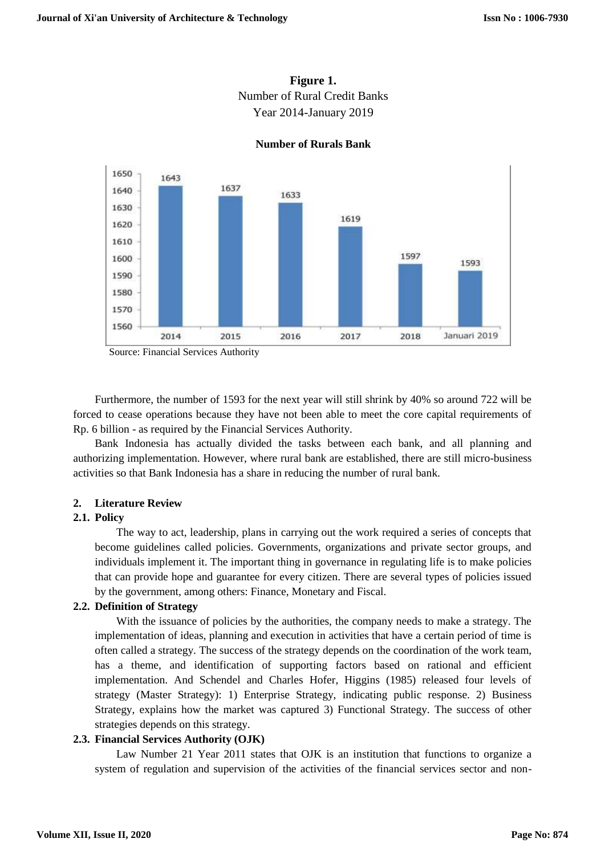



#### **Number of Rurals Bank**

Source: Financial Services Authority

Furthermore, the number of 1593 for the next year will still shrink by 40% so around 722 will be forced to cease operations because they have not been able to meet the core capital requirements of Rp. 6 billion - as required by the Financial Services Authority.

Bank Indonesia has actually divided the tasks between each bank, and all planning and authorizing implementation. However, where rural bank are established, there are still micro-business activities so that Bank Indonesia has a share in reducing the number of rural bank.

#### **2. Literature Review**

#### **2.1. Policy**

The way to act, leadership, plans in carrying out the work required a series of concepts that become guidelines called policies. Governments, organizations and private sector groups, and individuals implement it. The important thing in governance in regulating life is to make policies that can provide hope and guarantee for every citizen. There are several types of policies issued by the government, among others: Finance, Monetary and Fiscal.

### **2.2. Definition of Strategy**

With the issuance of policies by the authorities, the company needs to make a strategy. The implementation of ideas, planning and execution in activities that have a certain period of time is often called a strategy. The success of the strategy depends on the coordination of the work team, has a theme, and identification of supporting factors based on rational and efficient implementation. And Schendel and Charles Hofer, Higgins (1985) released four levels of strategy (Master Strategy): 1) Enterprise Strategy, indicating public response. 2) Business Strategy, explains how the market was captured 3) Functional Strategy. The success of other strategies depends on this strategy.

#### **2.3. Financial Services Authority (OJK)**

Law Number 21 Year 2011 states that OJK is an institution that functions to organize a system of regulation and supervision of the activities of the financial services sector and non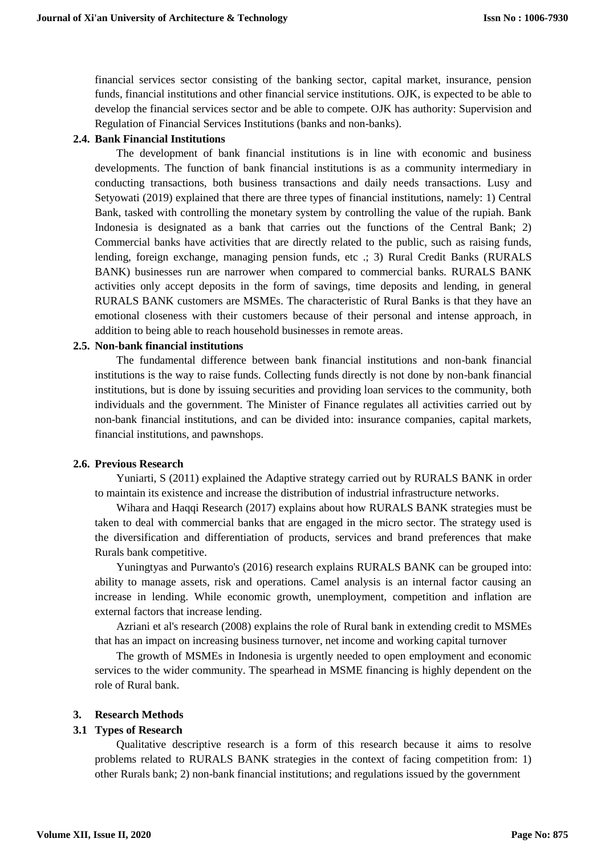financial services sector consisting of the banking sector, capital market, insurance, pension funds, financial institutions and other financial service institutions. OJK, is expected to be able to develop the financial services sector and be able to compete. OJK has authority: Supervision and Regulation of Financial Services Institutions (banks and non-banks).

#### **2.4. Bank Financial Institutions**

The development of bank financial institutions is in line with economic and business developments. The function of bank financial institutions is as a community intermediary in conducting transactions, both business transactions and daily needs transactions. Lusy and Setyowati (2019) explained that there are three types of financial institutions, namely: 1) Central Bank, tasked with controlling the monetary system by controlling the value of the rupiah. Bank Indonesia is designated as a bank that carries out the functions of the Central Bank; 2) Commercial banks have activities that are directly related to the public, such as raising funds, lending, foreign exchange, managing pension funds, etc .; 3) Rural Credit Banks (RURALS BANK) businesses run are narrower when compared to commercial banks. RURALS BANK activities only accept deposits in the form of savings, time deposits and lending, in general RURALS BANK customers are MSMEs. The characteristic of Rural Banks is that they have an emotional closeness with their customers because of their personal and intense approach, in addition to being able to reach household businesses in remote areas.

#### **2.5. Non-bank financial institutions**

The fundamental difference between bank financial institutions and non-bank financial institutions is the way to raise funds. Collecting funds directly is not done by non-bank financial institutions, but is done by issuing securities and providing loan services to the community, both individuals and the government. The Minister of Finance regulates all activities carried out by non-bank financial institutions, and can be divided into: insurance companies, capital markets, financial institutions, and pawnshops.

#### **2.6. Previous Research**

Yuniarti, S (2011) explained the Adaptive strategy carried out by RURALS BANK in order to maintain its existence and increase the distribution of industrial infrastructure networks.

Wihara and Haqqi Research (2017) explains about how RURALS BANK strategies must be taken to deal with commercial banks that are engaged in the micro sector. The strategy used is the diversification and differentiation of products, services and brand preferences that make Rurals bank competitive.

Yuningtyas and Purwanto's (2016) research explains RURALS BANK can be grouped into: ability to manage assets, risk and operations. Camel analysis is an internal factor causing an increase in lending. While economic growth, unemployment, competition and inflation are external factors that increase lending.

Azriani et al's research (2008) explains the role of Rural bank in extending credit to MSMEs that has an impact on increasing business turnover, net income and working capital turnover

The growth of MSMEs in Indonesia is urgently needed to open employment and economic services to the wider community. The spearhead in MSME financing is highly dependent on the role of Rural bank.

#### **3. Research Methods**

#### **3.1 Types of Research**

Qualitative descriptive research is a form of this research because it aims to resolve problems related to RURALS BANK strategies in the context of facing competition from: 1) other Rurals bank; 2) non-bank financial institutions; and regulations issued by the government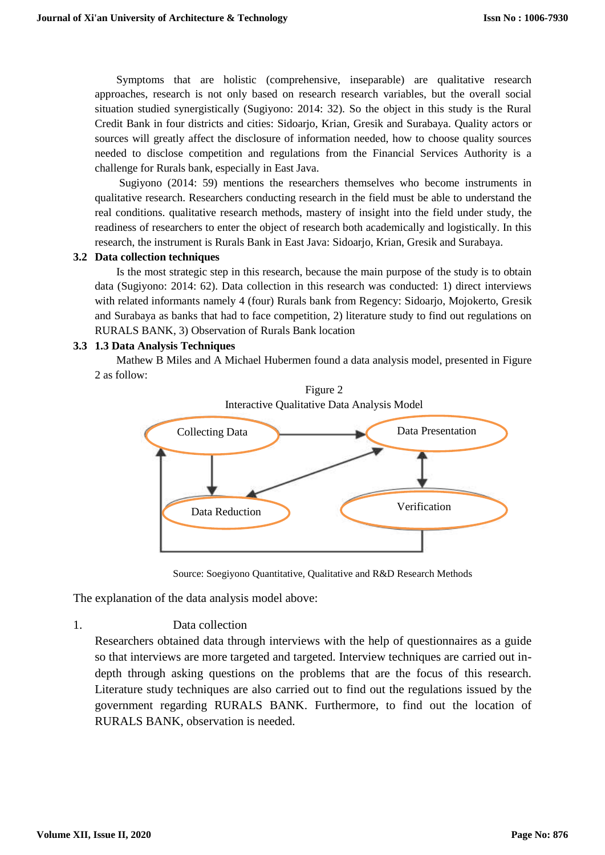Symptoms that are holistic (comprehensive, inseparable) are qualitative research approaches, research is not only based on research research variables, but the overall social situation studied synergistically (Sugiyono: 2014: 32). So the object in this study is the Rural Credit Bank in four districts and cities: Sidoarjo, Krian, Gresik and Surabaya. Quality actors or sources will greatly affect the disclosure of information needed, how to choose quality sources needed to disclose competition and regulations from the Financial Services Authority is a challenge for Rurals bank, especially in East Java.

Sugiyono (2014: 59) mentions the researchers themselves who become instruments in qualitative research. Researchers conducting research in the field must be able to understand the real conditions. qualitative research methods, mastery of insight into the field under study, the readiness of researchers to enter the object of research both academically and logistically. In this research, the instrument is Rurals Bank in East Java: Sidoarjo, Krian, Gresik and Surabaya.

#### **3.2 Data collection techniques**

Is the most strategic step in this research, because the main purpose of the study is to obtain data (Sugiyono: 2014: 62). Data collection in this research was conducted: 1) direct interviews with related informants namely 4 (four) Rurals bank from Regency: Sidoarjo, Mojokerto, Gresik and Surabaya as banks that had to face competition, 2) literature study to find out regulations on RURALS BANK, 3) Observation of Rurals Bank location

#### **3.3 1.3 Data Analysis Techniques**

Mathew B Miles and A Michael Hubermen found a data analysis model, presented in Figure 2 as follow:





Source: Soegiyono Quantitative, Qualitative and R&D Research Methods

The explanation of the data analysis model above:

1. Data collection

Researchers obtained data through interviews with the help of questionnaires as a guide so that interviews are more targeted and targeted. Interview techniques are carried out indepth through asking questions on the problems that are the focus of this research. Literature study techniques are also carried out to find out the regulations issued by the government regarding RURALS BANK. Furthermore, to find out the location of RURALS BANK, observation is needed.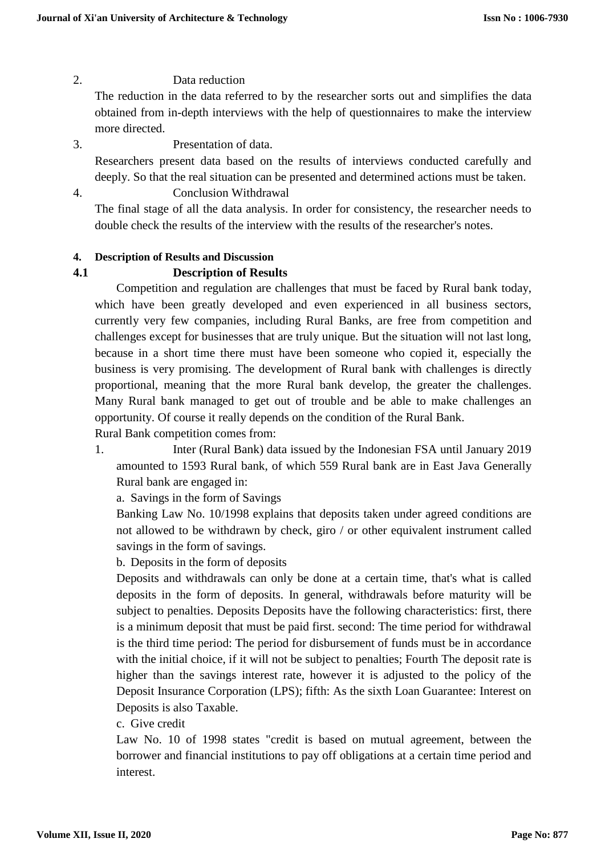# 2. Data reduction

The reduction in the data referred to by the researcher sorts out and simplifies the data obtained from in-depth interviews with the help of questionnaires to make the interview more directed.

- 3. Presentation of data. Researchers present data based on the results of interviews conducted carefully and deeply. So that the real situation can be presented and determined actions must be taken.
- 4. Conclusion Withdrawal

The final stage of all the data analysis. In order for consistency, the researcher needs to double check the results of the interview with the results of the researcher's notes.

### **4. Description of Results and Discussion**

### **4.1 Description of Results**

Competition and regulation are challenges that must be faced by Rural bank today, which have been greatly developed and even experienced in all business sectors, currently very few companies, including Rural Banks, are free from competition and challenges except for businesses that are truly unique. But the situation will not last long, because in a short time there must have been someone who copied it, especially the business is very promising. The development of Rural bank with challenges is directly proportional, meaning that the more Rural bank develop, the greater the challenges. Many Rural bank managed to get out of trouble and be able to make challenges an opportunity. Of course it really depends on the condition of the Rural Bank.

Rural Bank competition comes from:

1. Inter (Rural Bank) data issued by the Indonesian FSA until January 2019 amounted to 1593 Rural bank, of which 559 Rural bank are in East Java Generally Rural bank are engaged in:

a. Savings in the form of Savings

Banking Law No. 10/1998 explains that deposits taken under agreed conditions are not allowed to be withdrawn by check, giro / or other equivalent instrument called savings in the form of savings.

b. Deposits in the form of deposits

Deposits and withdrawals can only be done at a certain time, that's what is called deposits in the form of deposits. In general, withdrawals before maturity will be subject to penalties. Deposits Deposits have the following characteristics: first, there is a minimum deposit that must be paid first. second: The time period for withdrawal is the third time period: The period for disbursement of funds must be in accordance with the initial choice, if it will not be subject to penalties; Fourth The deposit rate is higher than the savings interest rate, however it is adjusted to the policy of the Deposit Insurance Corporation (LPS); fifth: As the sixth Loan Guarantee: Interest on Deposits is also Taxable.

c. Give credit

Law No. 10 of 1998 states "credit is based on mutual agreement, between the borrower and financial institutions to pay off obligations at a certain time period and interest.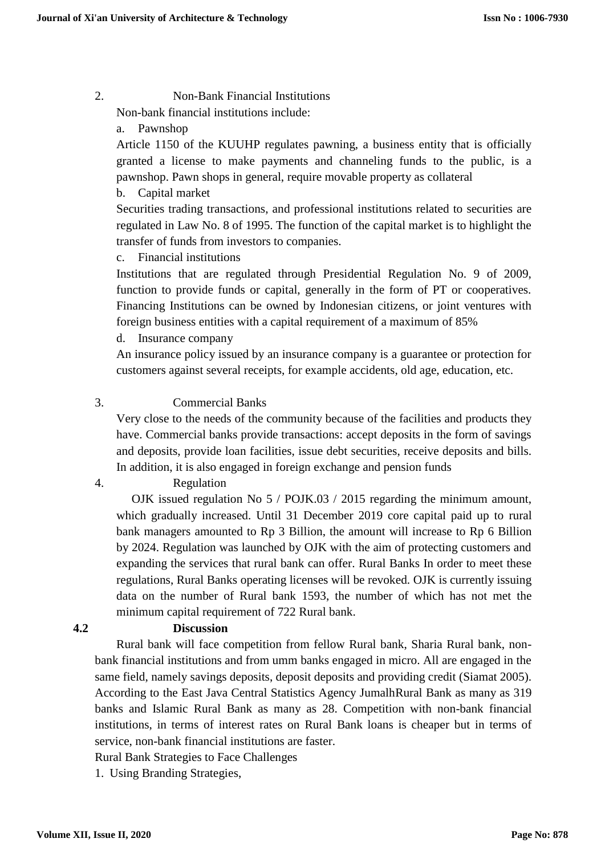### 2. Non-Bank Financial Institutions

Non-bank financial institutions include:

a. Pawnshop

Article 1150 of the KUUHP regulates pawning, a business entity that is officially granted a license to make payments and channeling funds to the public, is a pawnshop. Pawn shops in general, require movable property as collateral

b. Capital market

Securities trading transactions, and professional institutions related to securities are regulated in Law No. 8 of 1995. The function of the capital market is to highlight the transfer of funds from investors to companies.

c. Financial institutions

Institutions that are regulated through Presidential Regulation No. 9 of 2009, function to provide funds or capital, generally in the form of PT or cooperatives. Financing Institutions can be owned by Indonesian citizens, or joint ventures with foreign business entities with a capital requirement of a maximum of 85%

d. Insurance company

An insurance policy issued by an insurance company is a guarantee or protection for customers against several receipts, for example accidents, old age, education, etc.

# 3. Commercial Banks

Very close to the needs of the community because of the facilities and products they have. Commercial banks provide transactions: accept deposits in the form of savings and deposits, provide loan facilities, issue debt securities, receive deposits and bills. In addition, it is also engaged in foreign exchange and pension funds

# 4. Regulation

 OJK issued regulation No 5 / POJK.03 / 2015 regarding the minimum amount, which gradually increased. Until 31 December 2019 core capital paid up to rural bank managers amounted to Rp 3 Billion, the amount will increase to Rp 6 Billion by 2024. Regulation was launched by OJK with the aim of protecting customers and expanding the services that rural bank can offer. Rural Banks In order to meet these regulations, Rural Banks operating licenses will be revoked. OJK is currently issuing data on the number of Rural bank 1593, the number of which has not met the minimum capital requirement of 722 Rural bank.

# **4.2 Discussion**

Rural bank will face competition from fellow Rural bank, Sharia Rural bank, nonbank financial institutions and from umm banks engaged in micro. All are engaged in the same field, namely savings deposits, deposit deposits and providing credit (Siamat 2005). According to the East Java Central Statistics Agency JumalhRural Bank as many as 319 banks and Islamic Rural Bank as many as 28. Competition with non-bank financial institutions, in terms of interest rates on Rural Bank loans is cheaper but in terms of service, non-bank financial institutions are faster.

Rural Bank Strategies to Face Challenges

1. Using Branding Strategies,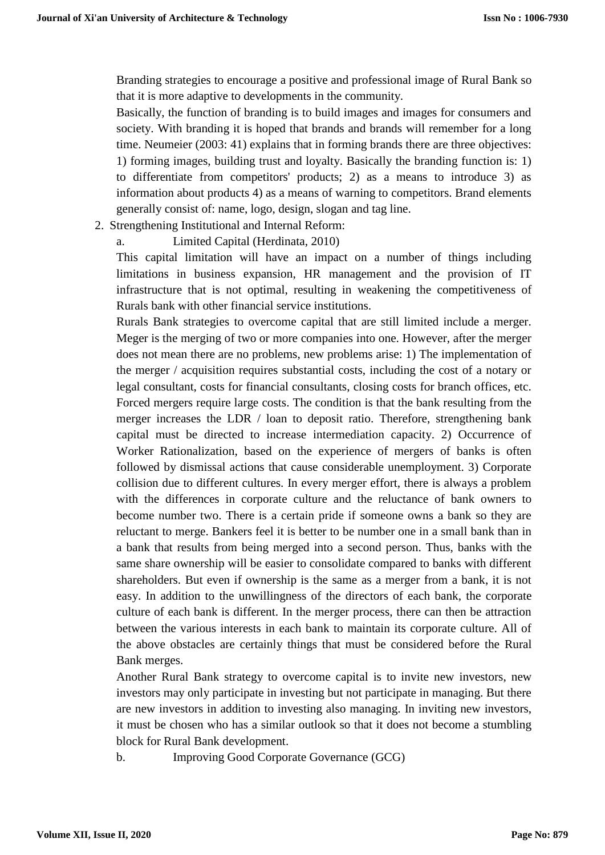Branding strategies to encourage a positive and professional image of Rural Bank so that it is more adaptive to developments in the community.

Basically, the function of branding is to build images and images for consumers and society. With branding it is hoped that brands and brands will remember for a long time. Neumeier (2003: 41) explains that in forming brands there are three objectives: 1) forming images, building trust and loyalty. Basically the branding function is: 1) to differentiate from competitors' products; 2) as a means to introduce 3) as information about products 4) as a means of warning to competitors. Brand elements generally consist of: name, logo, design, slogan and tag line.

- 2. Strengthening Institutional and Internal Reform:
	- a. Limited Capital (Herdinata, 2010)

This capital limitation will have an impact on a number of things including limitations in business expansion, HR management and the provision of IT infrastructure that is not optimal, resulting in weakening the competitiveness of Rurals bank with other financial service institutions.

Rurals Bank strategies to overcome capital that are still limited include a merger. Meger is the merging of two or more companies into one. However, after the merger does not mean there are no problems, new problems arise: 1) The implementation of the merger / acquisition requires substantial costs, including the cost of a notary or legal consultant, costs for financial consultants, closing costs for branch offices, etc. Forced mergers require large costs. The condition is that the bank resulting from the merger increases the LDR / loan to deposit ratio. Therefore, strengthening bank capital must be directed to increase intermediation capacity. 2) Occurrence of Worker Rationalization, based on the experience of mergers of banks is often followed by dismissal actions that cause considerable unemployment. 3) Corporate collision due to different cultures. In every merger effort, there is always a problem with the differences in corporate culture and the reluctance of bank owners to become number two. There is a certain pride if someone owns a bank so they are reluctant to merge. Bankers feel it is better to be number one in a small bank than in a bank that results from being merged into a second person. Thus, banks with the same share ownership will be easier to consolidate compared to banks with different shareholders. But even if ownership is the same as a merger from a bank, it is not easy. In addition to the unwillingness of the directors of each bank, the corporate culture of each bank is different. In the merger process, there can then be attraction between the various interests in each bank to maintain its corporate culture. All of the above obstacles are certainly things that must be considered before the Rural Bank merges.

Another Rural Bank strategy to overcome capital is to invite new investors, new investors may only participate in investing but not participate in managing. But there are new investors in addition to investing also managing. In inviting new investors, it must be chosen who has a similar outlook so that it does not become a stumbling block for Rural Bank development.

b. Improving Good Corporate Governance (GCG)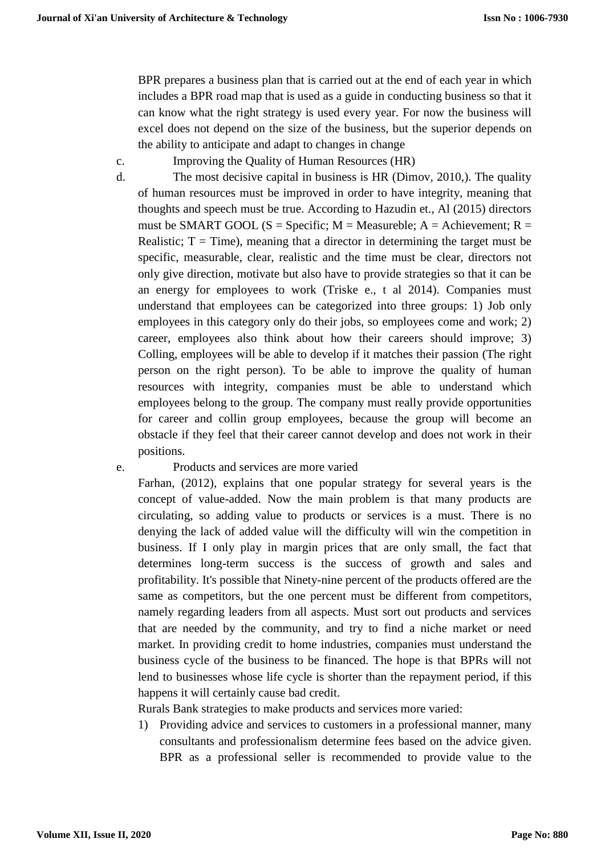BPR prepares a business plan that is carried out at the end of each year in which includes a BPR road map that is used as a guide in conducting business so that it can know what the right strategy is used every year. For now the business will excel does not depend on the size of the business, but the superior depends on the ability to anticipate and adapt to changes in change

- c. Improving the Quality of Human Resources (HR)
- d. The most decisive capital in business is HR (Dimov, 2010,). The quality of human resources must be improved in order to have integrity, meaning that thoughts and speech must be true. According to Hazudin et., Al (2015) directors must be SMART GOOL (S = Specific; M = Measureble; A = Achievement; R = Realistic;  $T = Time$ ), meaning that a director in determining the target must be specific, measurable, clear, realistic and the time must be clear, directors not only give direction, motivate but also have to provide strategies so that it can be an energy for employees to work (Triske e., t al 2014). Companies must understand that employees can be categorized into three groups: 1) Job only employees in this category only do their jobs, so employees come and work; 2) career, employees also think about how their careers should improve; 3) Colling, employees will be able to develop if it matches their passion (The right person on the right person). To be able to improve the quality of human resources with integrity, companies must be able to understand which employees belong to the group. The company must really provide opportunities for career and collin group employees, because the group will become an obstacle if they feel that their career cannot develop and does not work in their positions.

### e. Products and services are more varied

Farhan, (2012), explains that one popular strategy for several years is the concept of value-added. Now the main problem is that many products are circulating, so adding value to products or services is a must. There is no denying the lack of added value will the difficulty will win the competition in business. If I only play in margin prices that are only small, the fact that determines long-term success is the success of growth and sales and profitability. It's possible that Ninety-nine percent of the products offered are the same as competitors, but the one percent must be different from competitors, namely regarding leaders from all aspects. Must sort out products and services that are needed by the community, and try to find a niche market or need market. In providing credit to home industries, companies must understand the business cycle of the business to be financed. The hope is that BPRs will not lend to businesses whose life cycle is shorter than the repayment period, if this happens it will certainly cause bad credit.

Rurals Bank strategies to make products and services more varied:

1) Providing advice and services to customers in a professional manner, many consultants and professionalism determine fees based on the advice given. BPR as a professional seller is recommended to provide value to the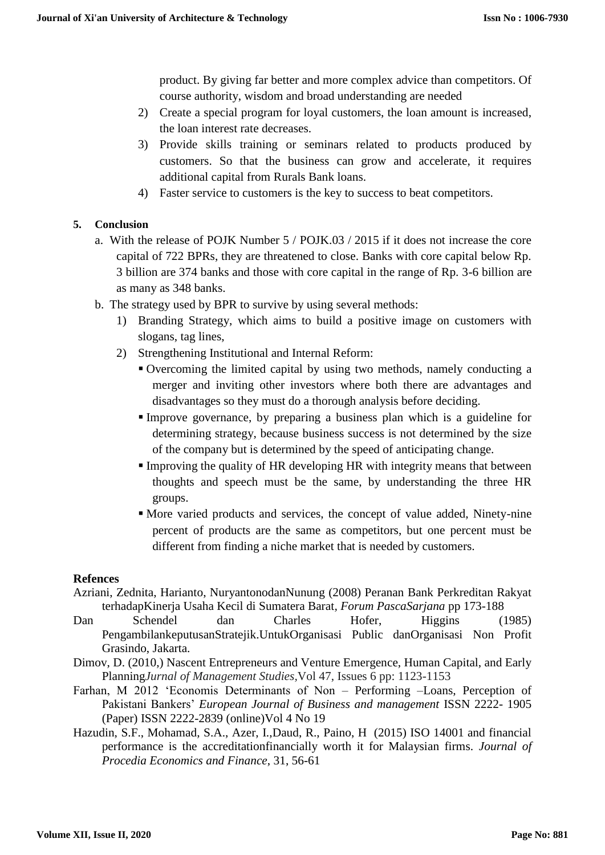product. By giving far better and more complex advice than competitors. Of course authority, wisdom and broad understanding are needed

- 2) Create a special program for loyal customers, the loan amount is increased, the loan interest rate decreases.
- 3) Provide skills training or seminars related to products produced by customers. So that the business can grow and accelerate, it requires additional capital from Rurals Bank loans.
- 4) Faster service to customers is the key to success to beat competitors.

### **5. Conclusion**

- a. With the release of POJK Number 5 / POJK.03 / 2015 if it does not increase the core capital of 722 BPRs, they are threatened to close. Banks with core capital below Rp. 3 billion are 374 banks and those with core capital in the range of Rp. 3-6 billion are as many as 348 banks.
- b. The strategy used by BPR to survive by using several methods:
	- 1) Branding Strategy, which aims to build a positive image on customers with slogans, tag lines,
	- 2) Strengthening Institutional and Internal Reform:
		- Overcoming the limited capital by using two methods, namely conducting a merger and inviting other investors where both there are advantages and disadvantages so they must do a thorough analysis before deciding.
		- Improve governance, by preparing a business plan which is a guideline for determining strategy, because business success is not determined by the size of the company but is determined by the speed of anticipating change.
		- Improving the quality of HR developing HR with integrity means that between thoughts and speech must be the same, by understanding the three HR groups.
		- More varied products and services, the concept of value added, Ninety-nine percent of products are the same as competitors, but one percent must be different from finding a niche market that is needed by customers.

### **Refences**

- Azriani, Zednita, Harianto, NuryantonodanNunung (2008) Peranan Bank Perkreditan Rakyat terhadapKinerja Usaha Kecil di Sumatera Barat*, Forum PascaSarjana* pp 173-188
- Dan Schendel dan Charles Hofer, Higgins (1985) PengambilankeputusanStratejik.UntukOrganisasi Public danOrganisasi Non Profit Grasindo, Jakarta.
- Dimov, D. (2010,) Nascent Entrepreneurs and Venture Emergence, Human Capital, and Early Planning*Jurnal of Management Studies,*Vol 47, Issues 6 pp: 1123-1153
- Farhan, M 2012 'Economis Determinants of Non Performing –Loans, Perception of Pakistani Bankers' *European Journal of Business and management* ISSN 2222- 1905 (Paper) ISSN 2222-2839 (online)Vol 4 No 19
- Hazudin, S.F., Mohamad, S.A., Azer, I.,Daud, R., Paino, H (2015) ISO 14001 and financial performance is the accreditationfinancially worth it for Malaysian firms. *Journal of Procedia Economics and Finance*, 31, 56-61